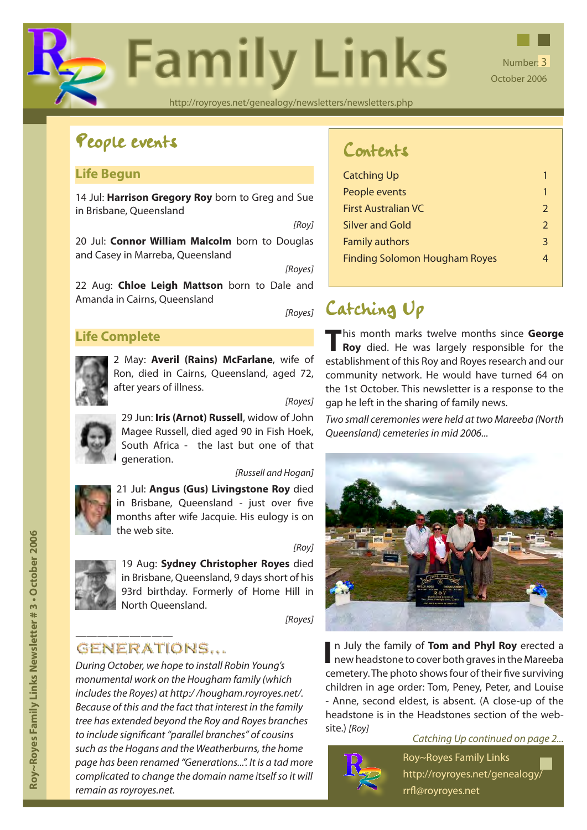

# People events

### **Life Begun**

14 Jul: **[Harrison Gregory Roy](http://royroyes.net/genealogy/getperson.php?personID=I5511&tree=rr_tree)** born to Greg and Sue in Brisbane, Queensland

*[Roy]*

20 Jul: **[Connor William Malcolm](http://royroyes.net/genealogy/getperson.php?personID=I5519&tree=rr_tree)** born to Douglas and Casey in Marreba, Queensland

*[Royes]*

22 Aug: **[Chloe Leigh Mattson](http://royroyes.net/genealogy/getperson.php?personID=I5518&tree=rr_tree)** born to Dale and Amanda in Cairns, Queensland

### **Life Complete**



2 May: **Averil (Rains) McFarlane**, wife of Ron, di[ed in Cairns, Queensland, a](http://royroyes.net/genealogy/getperson.php?personID=I771&tree=rr_tree)ged 72, after years of illness.

*[Royes]*

29 Jun: **[Iris \(Arnot\) Russell](http://royroyes.net/genealogy/getperson.php?personID=I26&tree=rr_tree)**, widow of John Magee Russell, died aged 90 in Fish Hoek, South Africa - the last but one of that generation.

#### *[Russell and Hogan]*

21 Jul: **Angus (Gus) Livingstone Roy** died in Bris[bane, Queensland - just over](http://royroyes.net/genealogy/getperson.php?personID=I818&tree=rr_tree) five months after wife Jacquie. His eulogy is on the web site.

19 Aug: **Sydney Christopher Royes** died in Brisba[ne, Queensland, 9 days short o](http://royroyes.net/genealogy/getperson.php?personID=I1051&tree=rr_tree)f his 93rd birthday. Formerly of Home Hill in North Queensland.

*[Royes]*

### GENERATIONS...

*During October, we hope to install Robin Young's monumental work on the Hougham family (which includes the Royes) at http:/ /hougham.royroyes.net/. Because of this and the fact that interest in the family tree has extended beyond the Roy and Royes branches to include significant "parallel branches" of cousins such as the Hogans and the Weatherburns, the home page has been renamed "Generations...". It is a tad more complicated to change the domain name itself so it will remain as royroyes.net.*

## Contents

| <b>Catching Up</b>                   | 1             |
|--------------------------------------|---------------|
| People events                        | 1             |
| <b>First Australian VC</b>           | $\mathcal{P}$ |
| <b>Silver and Gold</b>               | $\mathcal{P}$ |
| <b>Family authors</b>                | 3             |
| <b>Finding Solomon Hougham Royes</b> |               |
|                                      |               |

# *[Royes]* Catching Up

**T**his month marks twelve months since **[George](http://royroyes.net/genealogy/getperson.php?personID=I834&tree=rr_tree)  [Roy](http://royroyes.net/genealogy/getperson.php?personID=I834&tree=rr_tree)** died. He was largely responsible for the establishment of this Roy and Royes research and our community network. He would have turned 64 on the 1st October. This newsletter is a response to the gap he left in the sharing of family news.

*Two small ceremonies were held at two Mareeba (North Queensland) cemeteries in mid 2006...*



**I** n July the family of **[Tom and Phyl Roy](http://royroyes.net/genealogy/familygroup.php?familyID=F21&tree=rr_tree)** erected a new headstone to cover both graves in the Mareeba cemetery. The photo shows four of their five surviving children in age order: Tom, Peney, Peter, and Louise - Anne, second eldest, is absent. (A close-up of the headstone is in the Headstones section of the website.) *[Roy]*

#### *Catching Up continued on page 2...*



Roy~Royes Family Links http://royroyes.net/genealogy/ rrfl@royroyes.net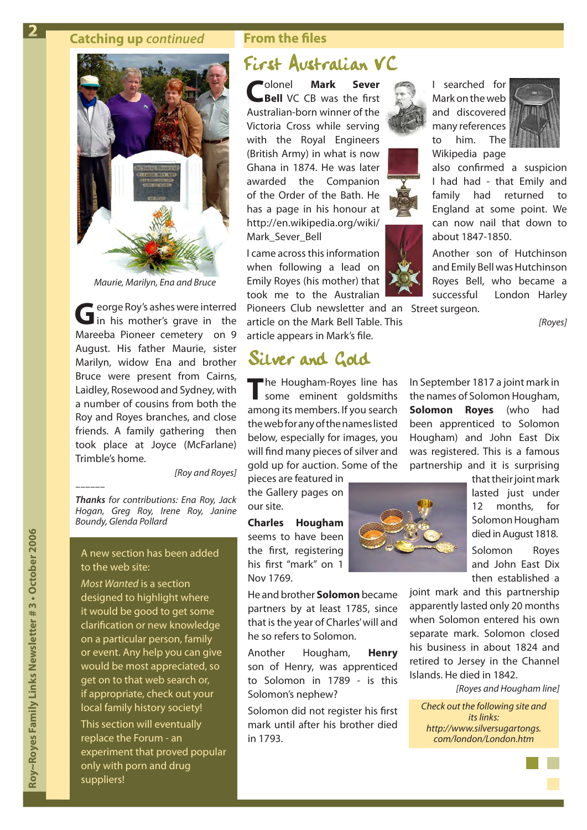#### **Catching up** *continued* **From the files**

<span id="page-1-0"></span>**2**



*Maurie, Marilyn, Ena and Bruce*

George Roy's ashes were interred<br>
in his mother's grave in the Mareeba Pioneer cemetery on 9 August. His father Maurie, sister Marilyn, widow Ena and brother Bruce were present from Cairns, Laidley, Rosewood and Sydney, with a number of cousins from both the Roy and Royes branches, and close friends. A family gathering then took place at Joyce (McFarlane) Trimble's home.

*[Roy and Royes]*

*Thanks for contributions: Ena Roy, Jack Hogan, Greg Roy, Irene Roy, Janine Boundy, Glenda Pollard*

*––––––*

#### A new section has been added to the web site:

*Most Wanted* is a section designed to highlight where it would be good to get some clarification or new knowledge on a particular person, family or event. Any help you can give would be most appreciated, so get on to that web search or, if appropriate, check out your local family history society! This section will eventually replace the Forum - an experiment that proved popular only with porn and drug suppliers!

### First Australian VC

**C**olonel **[Mark Sever](http://royroyes.net/genealogy/getperson.php?personID=I3480&tree=rr_tree) [Bell](http://royroyes.net/genealogy/getperson.php?personID=I3480&tree=rr_tree)** VC CB was the first Australian-born winner of the Victoria Cross while serving with the Royal Engineers (British Army) in what is now Ghana in 1874. He was later awarded the Companion of the Order of the Bath. He has a page in his honour at http://en.wikipedia.org/wiki/ Mark\_Sever\_Bell

I came across this information when following a lead on Emily Royes (his mother) that took me to the Australian

Pioneers Club newsletter and an Street surgeon. article on the Mark Bell Table. This article appears in [Mark's file](http://royroyes.net/genealogy/getperson.php?personID=I4756&tree=rr_tree).

## Silver and Gold

**T**he Hougham-Royes line has some eminent goldsmiths among its members. If you search the web for any of the names listed below, especially for images, you will find many pieces of silver and gold up for auction. Some of the

pieces are featured in the Gallery pages on our site.

**[Charles Hougham](http://royroyes.net/genealogy/getperson.php?personID=I2221&tree=rr_tree)** seems to have been the first, registering his first "mark" on 1 Nov 1769.

He and brother **[Solomon](http://royroyes.net/genealogy/getperson.php?personID=I2219&tree=rr_tree)** became partners by at least 1785, since that is the year of Charles' will and he so refers to Solomon.

Another Hougham, **[Henry](http://royroyes.net/genealogy/getperson.php?personID=I2217&tree=rr_tree)** son of Henry, was apprenticed to Solomon in 1789 - is this Solomon's nephew?

Solomon did not register his first mark until after his brother died in 1793.





I searched for Mark on the web and discovered many references to him. The Wikipedia page



also confirmed a suspicion I had had - that Emily and family had returned to England at some point. We can now nail that down to about 1847-1850.

Another son of Hutchinson and Emily Bell was Hutchinson Royes Bell, who became a successful London Harley

*[Royes]*

In September 1817 a joint mark in the names of Solomon Hougham, **[Solomon Royes](http://royroyes.net/genealogy/getperson.php?personID=I2225&tree=rr_tree)** (who had been apprenticed to Solomon Hougham) and John East Dix was registered. This is a famous partnership and it is surprising



that their joint mark lasted just under 12 months, for Solomon Hougham died in August 1818. Solomon Royes and John East Dix then established a

joint mark and this partnership apparently lasted only 20 months when Solomon entered his own separate mark. Solomon closed his business in about 1824 and retired to Jersey in the Channel Islands. He died in 1842.

*[Royes and Hougham line]*

*Check out the following site and its links: http://www.silversugartongs. com/london/London.htm*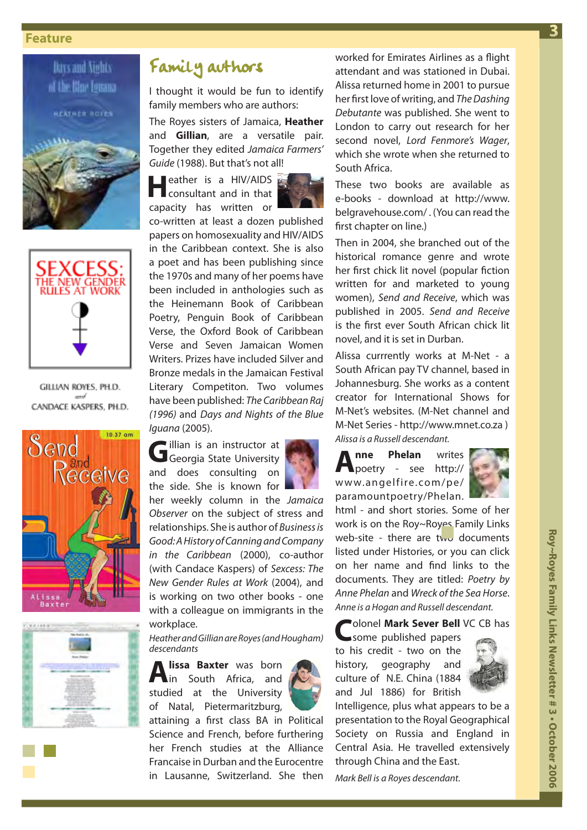#### <span id="page-2-0"></span> **Feature**





GILLIAN ROYES, PH.D. CANDACE KASPERS, PH.D.





## Family authors

I thought it would be fun to identify family members who are authors:

The Royes sisters of Jamaica, **[Heather](http://royroyes.net/genealogy/getperson.php?personID=I4474&tree=rr_tree)** and **[Gillian](http://royroyes.net/genealogy/getperson.php?personID=I4473&tree=rr_tree)**, are a versatile pair. Together they edited *Jamaica Farmers' Guide* (1988). But that's not all!

**H**eather is a HIV/AIDS<br>
consultant and in that capacity has written or



co-written at least a dozen published papers on homosexuality and HIV/AIDS in the Caribbean context. She is also a poet and has been publishing since the 1970s and many of her poems have been included in anthologies such as the Heinemann Book of Caribbean Poetry, Penguin Book of Caribbean Verse, the Oxford Book of Caribbean Verse and Seven Jamaican Women Writers. Prizes have included Silver and Bronze medals in the Jamaican Festival Literary Competiton. Two volumes have been published: *The Caribbean Raj (1996)* and *Days and Nights of the Blue Iguana* (2005).

Gillian is an instructor at Georgia State University and does consulting on the side. She is known for



her weekly column in the *Jamaica Observer* on the subject of stress and relationships. She is author of *Business is Good: A History of Canning and Company in the Caribbean* (2000), co-author (with Candace Kaspers) of *Sexcess: The New Gender Rules at Work* (2004), and is working on two other books - one with a colleague on immigrants in the workplace.

*Heather and Gillian are Royes (and Hougham) descendants*

**[Alissa Baxter](http://royroyes.net/genealogy/getperson.php?personID=I3232&tree=rr_tree)** was born<br>**A** in South Africa, and studied at the University of Natal, Pietermaritzburg,



attaining a first class BA in Political Science and French, before furthering her French studies at the Alliance Francaise in Durban and the Eurocentre in Lausanne, Switzerland. She then

worked for Emirates Airlines as a flight attendant and was stationed in Dubai. Alissa returned home in 2001 to pursue her first love of writing, and *The Dashing Debutante* was published. She went to London to carry out research for her second novel, *Lord Fenmore's Wager*, which she wrote when she returned to South Africa.

These two books are available as e-books - download at http://www. belgravehouse.com/ . (You can read the first chapter on line.)

Then in 2004, she branched out of the historical romance genre and wrote her first chick lit novel (popular fiction written for and marketed to young women), *Send and Receive*, which was published in 2005. *Send and Receive* is the first ever South African chick lit novel, and it is set in Durban.

Alissa currrently works at M-Net - a South African pay TV channel, based in Johannesburg. She works as a content creator for International Shows for M-Net's websites. (M-Net channel and M-Net Series - http://www.mnet.co.za ) *Alissa is a Russell descendant.*

**[Anne Phelan](http://royroyes.net/genealogy/getperson.php?personID=I442&tree=rr_tree)** writes poetry - see http:// www.angelfire.com/pe/ paramountpoetry/Phelan.



html - and short stories. Some of her work is on the Roy~Royes Family Links web-site - there are two documents listed under Histories, or you can click on her name and find links to the documents. They are titled: *Poetry by Anne Phelan* and *Wreck of the Sea Horse*. *Anne is a Hogan and Russell descendant.*

### **C**olonel **[Mark Sever Bell](http://royroyes.net/genealogy/getperson.php?personID=I3480&tree=rr_tree)** VC CB has

some published papers to his credit - two on the history, geography and culture of N.E. China (1884 and Jul 1886) for British



Intelligence, plus what appears to be a presentation to the Royal Geographical Society on Russia and England in Central Asia. He travelled extensively through China and the East.